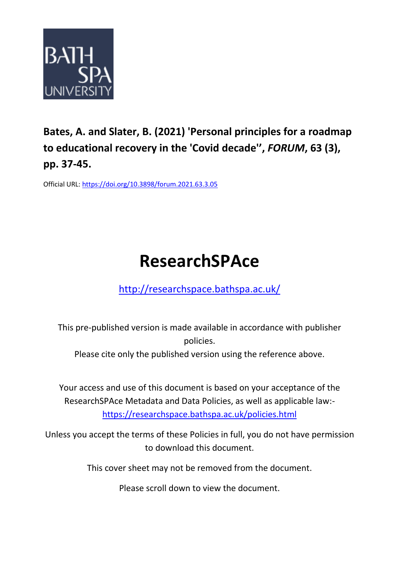

## **Bates, A. and Slater, B. (2021) 'Personal principles for a roadmap to educational recovery in the 'Covid decade'' ,** *FORUM***, 63 (3), pp. 37-45.**

Official URL:<https://doi.org/10.3898/forum.2021.63.3.05>

# **ResearchSPAce**

<http://researchspace.bathspa.ac.uk/>

This pre-published version is made available in accordance with publisher policies.

Please cite only the published version using the reference above.

Your access and use of this document is based on your acceptance of the ResearchSPAce Metadata and Data Policies, as well as applicable law: https://researchspace.bathspa.ac.uk/policies.html

Unless you accept the terms of these Policies in full, you do not have permission to download this document.

This cover sheet may not be removed from the document.

Please scroll down to view the document.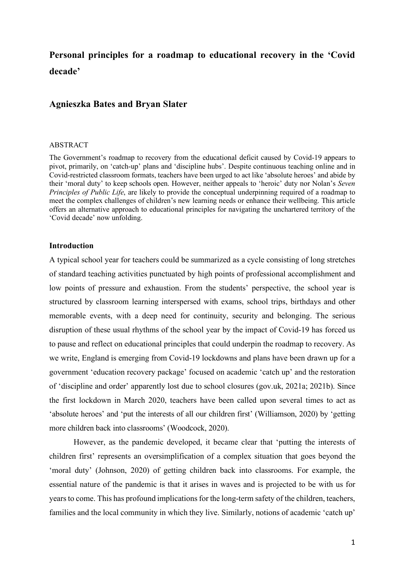### **Personal principles for a roadmap to educational recovery in the 'Covid decade'**

#### **Agnieszka Bates and Bryan Slater**

#### ABSTRACT

The Government's roadmap to recovery from the educational deficit caused by Covid-19 appears to pivot, primarily, on 'catch-up' plans and 'discipline hubs'. Despite continuous teaching online and in Covid-restricted classroom formats, teachers have been urged to act like 'absolute heroes' and abide by their 'moral duty' to keep schools open. However, neither appeals to 'heroic' duty nor Nolan's *Seven Principles of Public Life*, are likely to provide the conceptual underpinning required of a roadmap to meet the complex challenges of children's new learning needs or enhance their wellbeing. This article offers an alternative approach to educational principles for navigating the unchartered territory of the 'Covid decade' now unfolding.

#### **Introduction**

A typical school year for teachers could be summarized as a cycle consisting of long stretches of standard teaching activities punctuated by high points of professional accomplishment and low points of pressure and exhaustion. From the students' perspective, the school year is structured by classroom learning interspersed with exams, school trips, birthdays and other memorable events, with a deep need for continuity, security and belonging. The serious disruption of these usual rhythms of the school year by the impact of Covid-19 has forced us to pause and reflect on educational principles that could underpin the roadmap to recovery. As we write, England is emerging from Covid-19 lockdowns and plans have been drawn up for a government 'education recovery package' focused on academic 'catch up' and the restoration of 'discipline and order' apparently lost due to school closures (gov.uk, 2021a; 2021b). Since the first lockdown in March 2020, teachers have been called upon several times to act as 'absolute heroes' and 'put the interests of all our children first' (Williamson, 2020) by 'getting more children back into classrooms' (Woodcock, 2020).

However, as the pandemic developed, it became clear that 'putting the interests of children first' represents an oversimplification of a complex situation that goes beyond the 'moral duty' (Johnson, 2020) of getting children back into classrooms. For example, the essential nature of the pandemic is that it arises in waves and is projected to be with us for years to come. This has profound implications for the long-term safety of the children, teachers, families and the local community in which they live. Similarly, notions of academic 'catch up'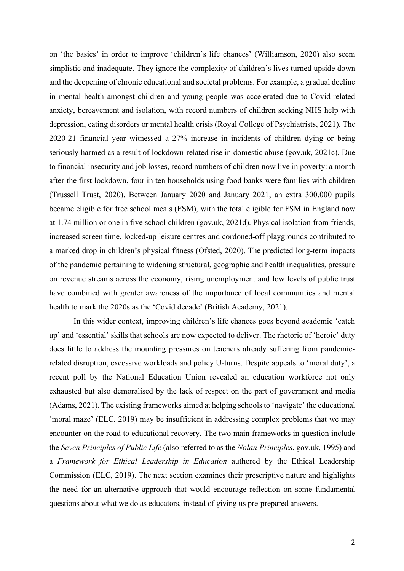on 'the basics' in order to improve 'children's life chances' (Williamson, 2020) also seem simplistic and inadequate. They ignore the complexity of children's lives turned upside down and the deepening of chronic educational and societal problems. For example, a gradual decline in mental health amongst children and young people was accelerated due to Covid-related anxiety, bereavement and isolation, with record numbers of children seeking NHS help with depression, eating disorders or mental health crisis (Royal College of Psychiatrists, 2021). The 2020-21 financial year witnessed a 27% increase in incidents of children dying or being seriously harmed as a result of lockdown-related rise in domestic abuse (gov.uk, 2021c). Due to financial insecurity and job losses, record numbers of children now live in poverty: a month after the first lockdown, four in ten households using food banks were families with children (Trussell Trust, 2020). Between January 2020 and January 2021, an extra 300,000 pupils became eligible for free school meals (FSM), with the total eligible for FSM in England now at 1.74 million or one in five school children (gov.uk, 2021d). Physical isolation from friends, increased screen time, locked-up leisure centres and cordoned-off playgrounds contributed to a marked drop in children's physical fitness (Ofsted, 2020). The predicted long-term impacts of the pandemic pertaining to widening structural, geographic and health inequalities, pressure on revenue streams across the economy, rising unemployment and low levels of public trust have combined with greater awareness of the importance of local communities and mental health to mark the 2020s as the 'Covid decade' (British Academy, 2021).

In this wider context, improving children's life chances goes beyond academic 'catch up' and 'essential' skills that schools are now expected to deliver. The rhetoric of 'heroic' duty does little to address the mounting pressures on teachers already suffering from pandemicrelated disruption, excessive workloads and policy U-turns. Despite appeals to 'moral duty', a recent poll by the National Education Union revealed an education workforce not only exhausted but also demoralised by the lack of respect on the part of government and media (Adams, 2021). The existing frameworks aimed at helping schools to 'navigate' the educational 'moral maze' (ELC, 2019) may be insufficient in addressing complex problems that we may encounter on the road to educational recovery. The two main frameworks in question include the *Seven Principles of Public Life* (also referred to as the *Nolan Principles*, gov.uk, 1995) and a *Framework for Ethical Leadership in Education* authored by the Ethical Leadership Commission (ELC, 2019). The next section examines their prescriptive nature and highlights the need for an alternative approach that would encourage reflection on some fundamental questions about what we do as educators, instead of giving us pre-prepared answers.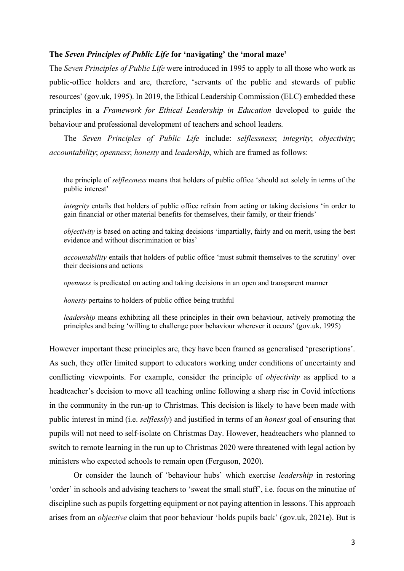#### **The** *Seven Principles of Public Life* **for 'navigating' the 'moral maze'**

The *Seven Principles of Public Life* were introduced in 1995 to apply to all those who work as public-office holders and are, therefore, 'servants of the public and stewards of public resources' (gov.uk, 1995). In 2019, the Ethical Leadership Commission (ELC) embedded these principles in a *Framework for Ethical Leadership in Education* developed to guide the behaviour and professional development of teachers and school leaders.

The *Seven Principles of Public Life* include: *selflessness*; *integrity*; *objectivity*; *accountability*; *openness*; *honesty* and *leadership*, which are framed as follows:

the principle of *selflessness* means that holders of public office 'should act solely in terms of the public interest'

*integrity* entails that holders of public office refrain from acting or taking decisions 'in order to gain financial or other material benefits for themselves, their family, or their friends'

*objectivity* is based on acting and taking decisions 'impartially, fairly and on merit, using the best evidence and without discrimination or bias'

*accountability* entails that holders of public office 'must submit themselves to the scrutiny' over their decisions and actions

*openness* is predicated on acting and taking decisions in an open and transparent manner

*honesty* pertains to holders of public office being truthful

*leadership* means exhibiting all these principles in their own behaviour, actively promoting the principles and being 'willing to challenge poor behaviour wherever it occurs' (gov.uk, 1995)

However important these principles are, they have been framed as generalised 'prescriptions'. As such, they offer limited support to educators working under conditions of uncertainty and conflicting viewpoints. For example, consider the principle of *objectivity* as applied to a headteacher's decision to move all teaching online following a sharp rise in Covid infections in the community in the run-up to Christmas. This decision is likely to have been made with public interest in mind (i.e. *selflessly*) and justified in terms of an *honest* goal of ensuring that pupils will not need to self-isolate on Christmas Day. However, headteachers who planned to switch to remote learning in the run up to Christmas 2020 were threatened with legal action by ministers who expected schools to remain open (Ferguson, 2020).

Or consider the launch of 'behaviour hubs' which exercise *leadership* in restoring 'order' in schools and advising teachers to 'sweat the small stuff', i.e. focus on the minutiae of discipline such as pupils forgetting equipment or not paying attention in lessons. This approach arises from an *objective* claim that poor behaviour 'holds pupils back' (gov.uk, 2021e). But is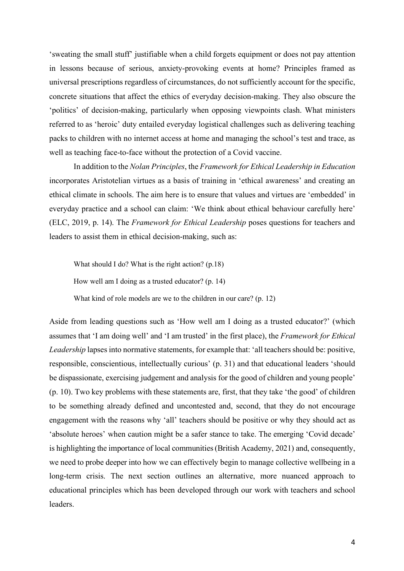'sweating the small stuff' justifiable when a child forgets equipment or does not pay attention in lessons because of serious, anxiety-provoking events at home? Principles framed as universal prescriptions regardless of circumstances, do not sufficiently account for the specific, concrete situations that affect the ethics of everyday decision-making. They also obscure the 'politics' of decision-making, particularly when opposing viewpoints clash. What ministers referred to as 'heroic' duty entailed everyday logistical challenges such as delivering teaching packs to children with no internet access at home and managing the school's test and trace, as well as teaching face-to-face without the protection of a Covid vaccine.

In addition to the *Nolan Principles*, the *Framework for Ethical Leadership in Education* incorporates Aristotelian virtues as a basis of training in 'ethical awareness' and creating an ethical climate in schools. The aim here is to ensure that values and virtues are 'embedded' in everyday practice and a school can claim: 'We think about ethical behaviour carefully here' (ELC, 2019, p. 14). The *Framework for Ethical Leadership* poses questions for teachers and leaders to assist them in ethical decision-making, such as:

What should I do? What is the right action? (p.18)

How well am I doing as a trusted educator? (p. 14)

What kind of role models are we to the children in our care? (p. 12)

Aside from leading questions such as 'How well am I doing as a trusted educator?' (which assumes that 'I am doing well' and 'I am trusted' in the first place), the *Framework for Ethical Leadership* lapses into normative statements, for example that: 'all teachers should be: positive, responsible, conscientious, intellectually curious' (p. 31) and that educational leaders 'should be dispassionate, exercising judgement and analysis for the good of children and young people' (p. 10). Two key problems with these statements are, first, that they take 'the good' of children to be something already defined and uncontested and, second, that they do not encourage engagement with the reasons why 'all' teachers should be positive or why they should act as 'absolute heroes' when caution might be a safer stance to take. The emerging 'Covid decade' is highlighting the importance of local communities (British Academy, 2021) and, consequently, we need to probe deeper into how we can effectively begin to manage collective wellbeing in a long-term crisis. The next section outlines an alternative, more nuanced approach to educational principles which has been developed through our work with teachers and school leaders.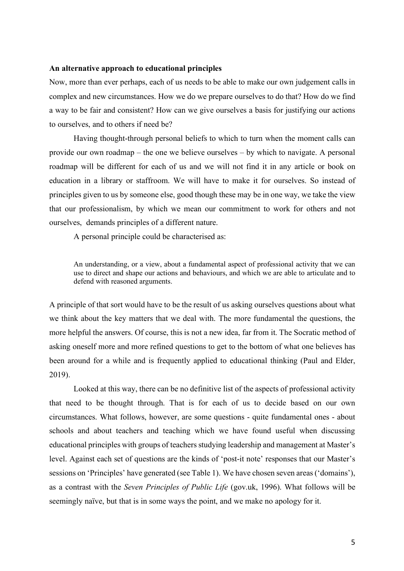#### **An alternative approach to educational principles**

Now, more than ever perhaps, each of us needs to be able to make our own judgement calls in complex and new circumstances. How we do we prepare ourselves to do that? How do we find a way to be fair and consistent? How can we give ourselves a basis for justifying our actions to ourselves, and to others if need be?

Having thought-through personal beliefs to which to turn when the moment calls can provide our own roadmap – the one we believe ourselves – by which to navigate. A personal roadmap will be different for each of us and we will not find it in any article or book on education in a library or staffroom. We will have to make it for ourselves. So instead of principles given to us by someone else, good though these may be in one way, we take the view that our professionalism, by which we mean our commitment to work for others and not ourselves, demands principles of a different nature.

A personal principle could be characterised as:

An understanding, or a view, about a fundamental aspect of professional activity that we can use to direct and shape our actions and behaviours, and which we are able to articulate and to defend with reasoned arguments.

A principle of that sort would have to be the result of us asking ourselves questions about what we think about the key matters that we deal with. The more fundamental the questions, the more helpful the answers. Of course, this is not a new idea, far from it. The Socratic method of asking oneself more and more refined questions to get to the bottom of what one believes has been around for a while and is frequently applied to educational thinking (Paul and Elder, 2019).

Looked at this way, there can be no definitive list of the aspects of professional activity that need to be thought through. That is for each of us to decide based on our own circumstances. What follows, however, are some questions - quite fundamental ones - about schools and about teachers and teaching which we have found useful when discussing educational principles with groups of teachers studying leadership and management at Master's level. Against each set of questions are the kinds of 'post-it note' responses that our Master's sessions on 'Principles' have generated (see Table 1). We have chosen seven areas ('domains'), as a contrast with the *Seven Principles of Public Life* (gov.uk, 1996). What follows will be seemingly naïve, but that is in some ways the point, and we make no apology for it.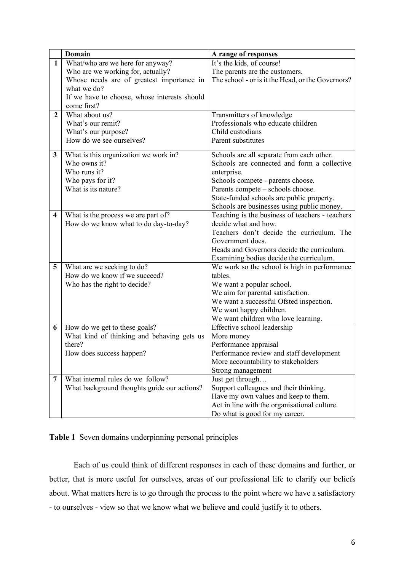|                         | Domain                                       | A range of responses                              |
|-------------------------|----------------------------------------------|---------------------------------------------------|
| $\mathbf{1}$            | What/who are we here for anyway?             | It's the kids, of course!                         |
|                         | Who are we working for, actually?            | The parents are the customers.                    |
|                         | Whose needs are of greatest importance in    | The school - or is it the Head, or the Governors? |
|                         | what we do?                                  |                                                   |
|                         | If we have to choose, whose interests should |                                                   |
|                         | come first?                                  |                                                   |
| $\overline{2}$          | What about us?                               | Transmitters of knowledge                         |
|                         | What's our remit?                            | Professionals who educate children                |
|                         | What's our purpose?                          | Child custodians                                  |
|                         | How do we see ourselves?                     | Parent substitutes                                |
|                         |                                              |                                                   |
| 3                       | What is this organization we work in?        | Schools are all separate from each other.         |
|                         | Who owns it?                                 | Schools are connected and form a collective       |
|                         | Who runs it?                                 | enterprise.                                       |
|                         | Who pays for it?                             | Schools compete - parents choose.                 |
|                         | What is its nature?                          | Parents compete - schools choose.                 |
|                         |                                              | State-funded schools are public property.         |
|                         |                                              | Schools are businesses using public money.        |
| $\overline{\mathbf{4}}$ | What is the process we are part of?          | Teaching is the business of teachers - teachers   |
|                         | How do we know what to do day-to-day?        | decide what and how.                              |
|                         |                                              | Teachers don't decide the curriculum. The         |
|                         |                                              | Government does.                                  |
|                         |                                              | Heads and Governors decide the curriculum.        |
|                         |                                              | Examining bodies decide the curriculum.           |
| 5                       | What are we seeking to do?                   | We work so the school is high in performance      |
|                         | How do we know if we succeed?                | tables.                                           |
|                         | Who has the right to decide?                 | We want a popular school.                         |
|                         |                                              | We aim for parental satisfaction.                 |
|                         |                                              | We want a successful Ofsted inspection.           |
|                         |                                              | We want happy children.                           |
|                         |                                              | We want children who love learning.               |
| 6                       | How do we get to these goals?                | Effective school leadership                       |
|                         | What kind of thinking and behaving gets us   | More money                                        |
|                         | there?                                       | Performance appraisal                             |
|                         | How does success happen?                     | Performance review and staff development          |
|                         |                                              | More accountability to stakeholders               |
|                         |                                              | Strong management                                 |
| 7                       | What internal rules do we follow?            | Just get through                                  |
|                         | What background thoughts guide our actions?  | Support colleagues and their thinking.            |
|                         |                                              | Have my own values and keep to them.              |
|                         |                                              | Act in line with the organisational culture.      |
|                         |                                              | Do what is good for my career.                    |

**Table 1** Seven domains underpinning personal principles

Each of us could think of different responses in each of these domains and further, or better, that is more useful for ourselves, areas of our professional life to clarify our beliefs about. What matters here is to go through the process to the point where we have a satisfactory - to ourselves - view so that we know what we believe and could justify it to others.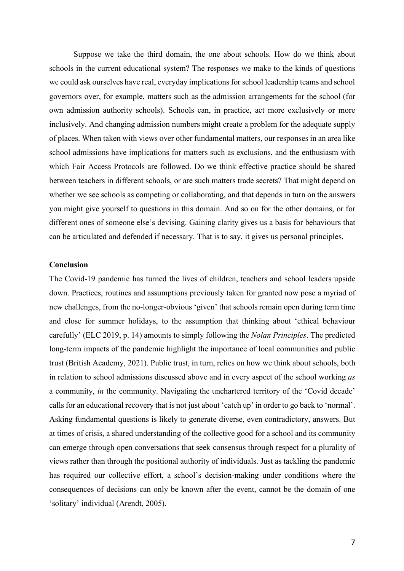Suppose we take the third domain, the one about schools. How do we think about schools in the current educational system? The responses we make to the kinds of questions we could ask ourselves have real, everyday implications for school leadership teams and school governors over, for example, matters such as the admission arrangements for the school (for own admission authority schools). Schools can, in practice, act more exclusively or more inclusively. And changing admission numbers might create a problem for the adequate supply of places. When taken with views over other fundamental matters, our responses in an area like school admissions have implications for matters such as exclusions, and the enthusiasm with which Fair Access Protocols are followed. Do we think effective practice should be shared between teachers in different schools, or are such matters trade secrets? That might depend on whether we see schools as competing or collaborating, and that depends in turn on the answers you might give yourself to questions in this domain. And so on for the other domains, or for different ones of someone else's devising. Gaining clarity gives us a basis for behaviours that can be articulated and defended if necessary. That is to say, it gives us personal principles.

#### **Conclusion**

The Covid-19 pandemic has turned the lives of children, teachers and school leaders upside down. Practices, routines and assumptions previously taken for granted now pose a myriad of new challenges, from the no-longer-obvious 'given' that schools remain open during term time and close for summer holidays, to the assumption that thinking about 'ethical behaviour carefully' (ELC 2019, p. 14) amounts to simply following the *Nolan Principles*. The predicted long-term impacts of the pandemic highlight the importance of local communities and public trust (British Academy, 2021). Public trust, in turn, relies on how we think about schools, both in relation to school admissions discussed above and in every aspect of the school working *as* a community, *in* the community. Navigating the unchartered territory of the 'Covid decade' calls for an educational recovery that is not just about 'catch up' in order to go back to 'normal'. Asking fundamental questions is likely to generate diverse, even contradictory, answers. But at times of crisis, a shared understanding of the collective good for a school and its community can emerge through open conversations that seek consensus through respect for a plurality of views rather than through the positional authority of individuals. Just as tackling the pandemic has required our collective effort, a school's decision-making under conditions where the consequences of decisions can only be known after the event, cannot be the domain of one 'solitary' individual (Arendt, 2005).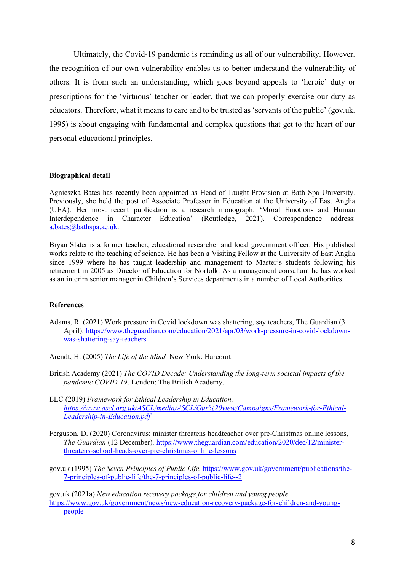Ultimately, the Covid-19 pandemic is reminding us all of our vulnerability. However, the recognition of our own vulnerability enables us to better understand the vulnerability of others. It is from such an understanding, which goes beyond appeals to 'heroic' duty or prescriptions for the 'virtuous' teacher or leader, that we can properly exercise our duty as educators. Therefore, what it means to care and to be trusted as 'servants of the public' (gov.uk, 1995) is about engaging with fundamental and complex questions that get to the heart of our personal educational principles.

#### **Biographical detail**

Agnieszka Bates has recently been appointed as Head of Taught Provision at Bath Spa University. Previously, she held the post of Associate Professor in Education at the University of East Anglia (UEA). Her most recent publication is a research monograph: 'Moral Emotions and Human Interdependence in Character Education' (Routledge, 2021). Correspondence address: a.bates@bathspa.ac.uk.

Bryan Slater is a former teacher, educational researcher and local government officer. His published works relate to the teaching of science. He has been a Visiting Fellow at the University of East Anglia since 1999 where he has taught leadership and management to Master's students following his retirement in 2005 as Director of Education for Norfolk. As a management consultant he has worked as an interim senior manager in Children's Services departments in a number of Local Authorities.

#### **References**

- Adams, R. (2021) Work pressure in Covid lockdown was shattering, say teachers, The Guardian (3 April). https://www.theguardian.com/education/2021/apr/03/work-pressure-in-covid-lockdownwas-shattering-say-teachers
- Arendt, H. (2005) *The Life of the Mind.* New York: Harcourt.
- British Academy (2021) *The COVID Decade: Understanding the long-term societal impacts of the pandemic COVID-19*. London: The British Academy.
- ELC (2019) *Framework for Ethical Leadership in Education. https://www.ascl.org.uk/ASCL/media/ASCL/Our%20view/Campaigns/Framework-for-Ethical-Leadership-in-Education.pdf*
- Ferguson, D. (2020) Coronavirus: minister threatens headteacher over pre-Christmas online lessons, *The Guardian* (12 December). https://www.theguardian.com/education/2020/dec/12/ministerthreatens-school-heads-over-pre-christmas-online-lessons
- gov.uk (1995) *The Seven Principles of Public Life*. https://www.gov.uk/government/publications/the-7-principles-of-public-life/the-7-principles-of-public-life--2

gov.uk (2021a) *New education recovery package for children and young people.*  https://www.gov.uk/government/news/new-education-recovery-package-for-children-and-youngpeople